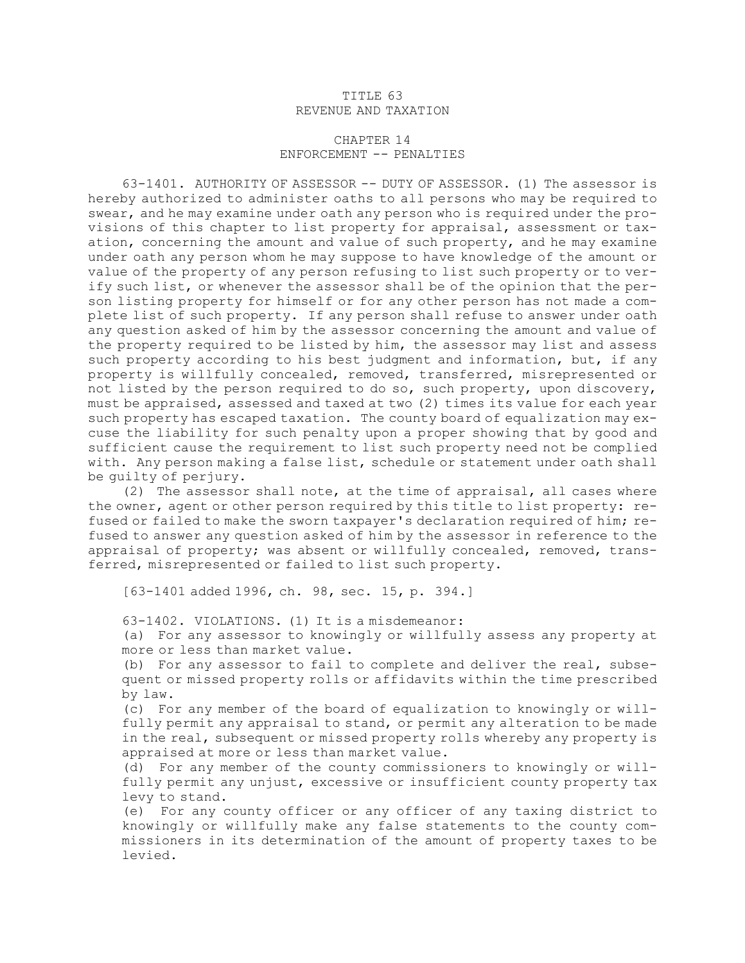## TITLE 63 REVENUE AND TAXATION

## CHAPTER 14 ENFORCEMENT -- PENALTIES

63-1401. AUTHORITY OF ASSESSOR -- DUTY OF ASSESSOR. (1) The assessor is hereby authorized to administer oaths to all persons who may be required to swear, and he may examine under oath any person who is required under the provisions of this chapter to list property for appraisal, assessment or taxation, concerning the amount and value of such property, and he may examine under oath any person whom he may suppose to have knowledge of the amount or value of the property of any person refusing to list such property or to verify such list, or whenever the assessor shall be of the opinion that the person listing property for himself or for any other person has not made <sup>a</sup> complete list of such property. If any person shall refuse to answer under oath any question asked of him by the assessor concerning the amount and value of the property required to be listed by him, the assessor may list and assess such property according to his best judgment and information, but, if any property is willfully concealed, removed, transferred, misrepresented or not listed by the person required to do so, such property, upon discovery, must be appraised, assessed and taxed at two (2) times its value for each year such property has escaped taxation. The county board of equalization may excuse the liability for such penalty upon <sup>a</sup> proper showing that by good and sufficient cause the requirement to list such property need not be complied with. Any person making <sup>a</sup> false list, schedule or statement under oath shall be guilty of perjury.

(2) The assessor shall note, at the time of appraisal, all cases where the owner, agent or other person required by this title to list property: refused or failed to make the sworn taxpayer's declaration required of him; refused to answer any question asked of him by the assessor in reference to the appraisal of property; was absent or willfully concealed, removed, transferred, misrepresented or failed to list such property.

[63-1401 added 1996, ch. 98, sec. 15, p. 394.]

63-1402. VIOLATIONS. (1) It is <sup>a</sup> misdemeanor:

(a) For any assessor to knowingly or willfully assess any property at more or less than market value.

(b) For any assessor to fail to complete and deliver the real, subsequent or missed property rolls or affidavits within the time prescribed by law.

(c) For any member of the board of equalization to knowingly or willfully permit any appraisal to stand, or permit any alteration to be made in the real, subsequent or missed property rolls whereby any property is appraised at more or less than market value.

(d) For any member of the county commissioners to knowingly or willfully permit any unjust, excessive or insufficient county property tax levy to stand.

(e) For any county officer or any officer of any taxing district to knowingly or willfully make any false statements to the county commissioners in its determination of the amount of property taxes to be levied.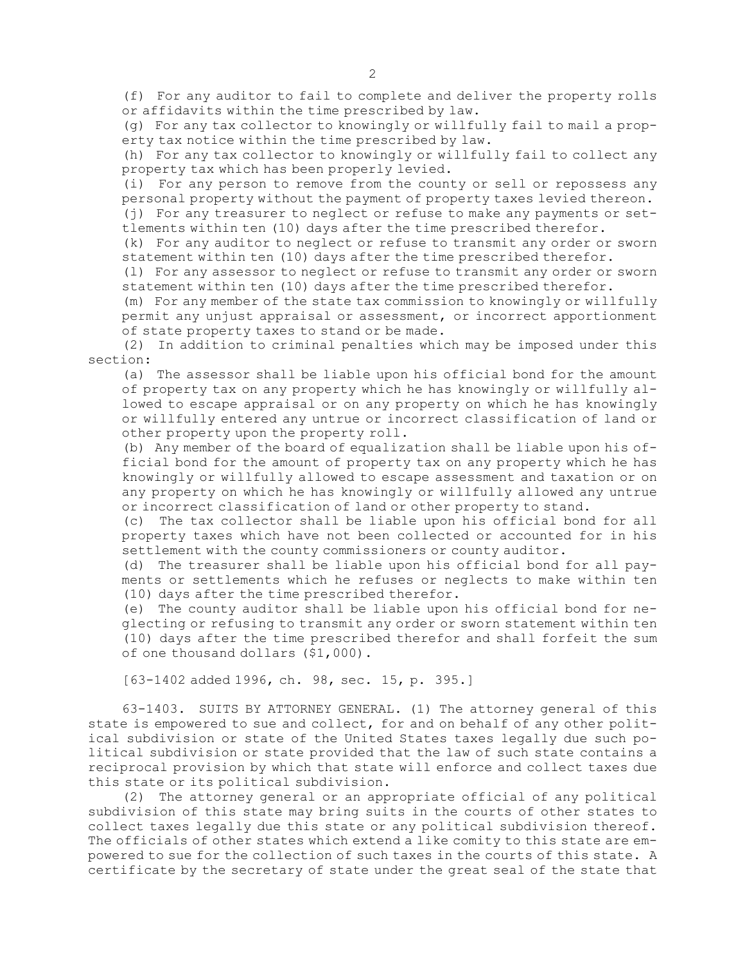(f) For any auditor to fail to complete and deliver the property rolls or affidavits within the time prescribed by law.

(g) For any tax collector to knowingly or willfully fail to mail <sup>a</sup> property tax notice within the time prescribed by law.

(h) For any tax collector to knowingly or willfully fail to collect any property tax which has been properly levied.

(i) For any person to remove from the county or sell or repossess any personal property without the payment of property taxes levied thereon. (j) For any treasurer to neglect or refuse to make any payments or settlements within ten (10) days after the time prescribed therefor.

(k) For any auditor to neglect or refuse to transmit any order or sworn statement within ten (10) days after the time prescribed therefor.

(l) For any assessor to neglect or refuse to transmit any order or sworn statement within ten (10) days after the time prescribed therefor.

(m) For any member of the state tax commission to knowingly or willfully permit any unjust appraisal or assessment, or incorrect apportionment of state property taxes to stand or be made.

(2) In addition to criminal penalties which may be imposed under this section:

(a) The assessor shall be liable upon his official bond for the amount of property tax on any property which he has knowingly or willfully allowed to escape appraisal or on any property on which he has knowingly or willfully entered any untrue or incorrect classification of land or other property upon the property roll.

(b) Any member of the board of equalization shall be liable upon his official bond for the amount of property tax on any property which he has knowingly or willfully allowed to escape assessment and taxation or on any property on which he has knowingly or willfully allowed any untrue or incorrect classification of land or other property to stand.

(c) The tax collector shall be liable upon his official bond for all property taxes which have not been collected or accounted for in his settlement with the county commissioners or county auditor.

(d) The treasurer shall be liable upon his official bond for all payments or settlements which he refuses or neglects to make within ten (10) days after the time prescribed therefor.

(e) The county auditor shall be liable upon his official bond for neglecting or refusing to transmit any order or sworn statement within ten (10) days after the time prescribed therefor and shall forfeit the sum of one thousand dollars (\$1,000).

[63-1402 added 1996, ch. 98, sec. 15, p. 395.]

63-1403. SUITS BY ATTORNEY GENERAL. (1) The attorney general of this state is empowered to sue and collect, for and on behalf of any other political subdivision or state of the United States taxes legally due such political subdivision or state provided that the law of such state contains <sup>a</sup> reciprocal provision by which that state will enforce and collect taxes due this state or its political subdivision.

(2) The attorney general or an appropriate official of any political subdivision of this state may bring suits in the courts of other states to collect taxes legally due this state or any political subdivision thereof. The officials of other states which extend <sup>a</sup> like comity to this state are empowered to sue for the collection of such taxes in the courts of this state. <sup>A</sup> certificate by the secretary of state under the great seal of the state that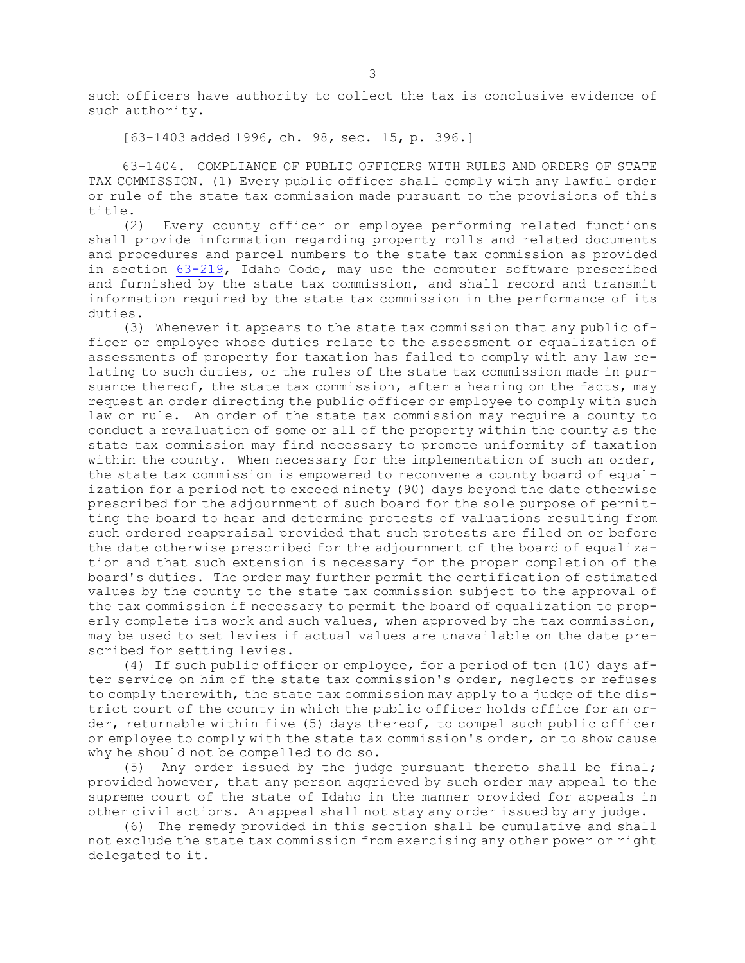such officers have authority to collect the tax is conclusive evidence of such authority.

[63-1403 added 1996, ch. 98, sec. 15, p. 396.]

63-1404. COMPLIANCE OF PUBLIC OFFICERS WITH RULES AND ORDERS OF STATE TAX COMMISSION. (1) Every public officer shall comply with any lawful order or rule of the state tax commission made pursuant to the provisions of this title.

(2) Every county officer or employee performing related functions shall provide information regarding property rolls and related documents and procedures and parcel numbers to the state tax commission as provided in section [63-219](https://legislature.idaho.gov/statutesrules/idstat/Title63/T63CH2/SECT63-219), Idaho Code, may use the computer software prescribed and furnished by the state tax commission, and shall record and transmit information required by the state tax commission in the performance of its duties.

(3) Whenever it appears to the state tax commission that any public officer or employee whose duties relate to the assessment or equalization of assessments of property for taxation has failed to comply with any law relating to such duties, or the rules of the state tax commission made in pursuance thereof, the state tax commission, after a hearing on the facts, may request an order directing the public officer or employee to comply with such law or rule. An order of the state tax commission may require <sup>a</sup> county to conduct <sup>a</sup> revaluation of some or all of the property within the county as the state tax commission may find necessary to promote uniformity of taxation within the county. When necessary for the implementation of such an order, the state tax commission is empowered to reconvene <sup>a</sup> county board of equalization for <sup>a</sup> period not to exceed ninety (90) days beyond the date otherwise prescribed for the adjournment of such board for the sole purpose of permitting the board to hear and determine protests of valuations resulting from such ordered reappraisal provided that such protests are filed on or before the date otherwise prescribed for the adjournment of the board of equalization and that such extension is necessary for the proper completion of the board's duties. The order may further permit the certification of estimated values by the county to the state tax commission subject to the approval of the tax commission if necessary to permit the board of equalization to properly complete its work and such values, when approved by the tax commission, may be used to set levies if actual values are unavailable on the date prescribed for setting levies.

(4) If such public officer or employee, for <sup>a</sup> period of ten (10) days after service on him of the state tax commission's order, neglects or refuses to comply therewith, the state tax commission may apply to <sup>a</sup> judge of the district court of the county in which the public officer holds office for an order, returnable within five (5) days thereof, to compel such public officer or employee to comply with the state tax commission's order, or to show cause why he should not be compelled to do so.

(5) Any order issued by the judge pursuant thereto shall be final; provided however, that any person aggrieved by such order may appeal to the supreme court of the state of Idaho in the manner provided for appeals in other civil actions. An appeal shall not stay any order issued by any judge.

(6) The remedy provided in this section shall be cumulative and shall not exclude the state tax commission from exercising any other power or right delegated to it.